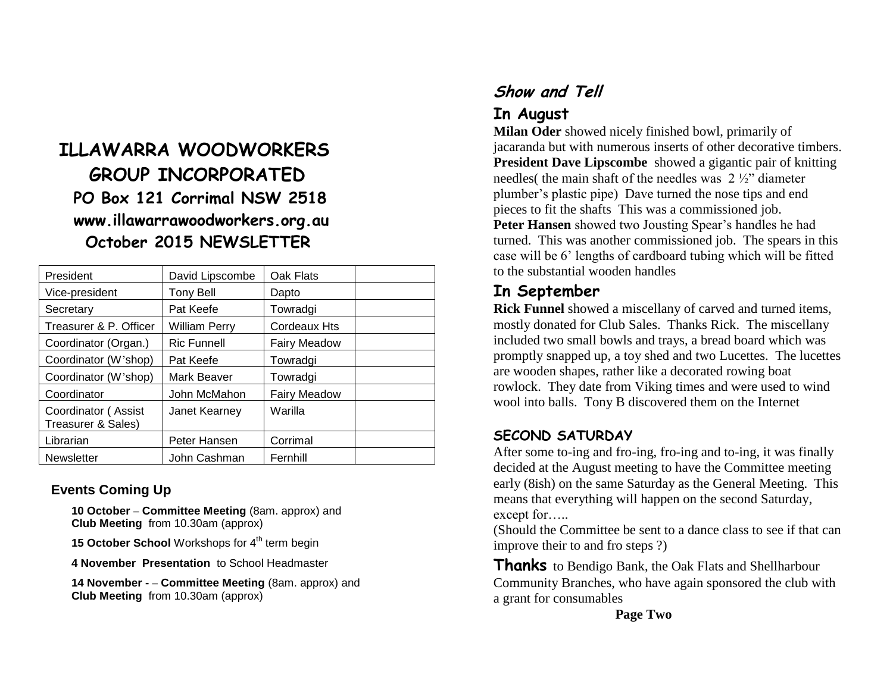# **ILLAWARRA WOODWORKERS GROUP INCORPORATED PO Box 121 Corrimal NSW 2518 www.illawarrawoodworkers.org.au October 2015 NEWSLETTER**

| President                                 | David Lipscombe      | Oak Flats           |  |
|-------------------------------------------|----------------------|---------------------|--|
| Vice-president                            | <b>Tony Bell</b>     | Dapto               |  |
| Secretary                                 | Pat Keefe            | Towradgi            |  |
| Treasurer & P. Officer                    | <b>William Perry</b> | Cordeaux Hts        |  |
| Coordinator (Organ.)                      | <b>Ric Funnell</b>   | Fairy Meadow        |  |
| Coordinator (W'shop)                      | Pat Keefe            | Towradgi            |  |
| Coordinator (W'shop)                      | Mark Beaver          | Towradgi            |  |
| Coordinator                               | John McMahon         | <b>Fairy Meadow</b> |  |
| Coordinator (Assist<br>Treasurer & Sales) | Janet Kearney        | Warilla             |  |
| Librarian                                 | Peter Hansen         | Corrimal            |  |
| <b>Newsletter</b>                         | John Cashman         | Fernhill            |  |

#### **Events Coming Up**

**10 October – Committee Meeting** (8am. approx) and **Club Meeting** from 10.30am (approx)

**15 October School** Workshops for 4<sup>th</sup> term begin

**4 November Presentation** to School Headmaster

**14 November - – Committee Meeting** (8am. approx) and **Club Meeting** from 10.30am (approx)

# **Show and Tell**

### **In August**

**Milan Oder** showed nicely finished bowl, primarily of jacaranda but with numerous inserts of other decorative timbers. **President Dave Lipscombe** showed a gigantic pair of knitting needles( the main shaft of the needles was 2 ½" diameter plumber's plastic pipe) Dave turned the nose tips and end pieces to fit the shafts This was a commissioned job. **Peter Hansen** showed two Jousting Spear's handles he had turned. This was another commissioned job. The spears in this case will be 6' lengths of cardboard tubing which will be fitted to the substantial wooden handles

### **In September**

**Rick Funnel** showed a miscellany of carved and turned items, mostly donated for Club Sales. Thanks Rick. The miscellany included two small bowls and trays, a bread board which was promptly snapped up, a toy shed and two Lucettes. The lucettes are wooden shapes, rather like a decorated rowing boat rowlock. They date from Viking times and were used to wind wool into balls. Tony B discovered them on the Internet

### **SECOND SATURDAY**

After some to-ing and fro-ing, fro-ing and to-ing, it was finally decided at the August meeting to have the Committee meeting early (8ish) on the same Saturday as the General Meeting. This means that everything will happen on the second Saturday, except for…..

(Should the Committee be sent to a dance class to see if that can improve their to and fro steps ?)

**Thanks** to Bendigo Bank, the Oak Flats and Shellharbour Community Branches, who have again sponsored the club with a grant for consumables